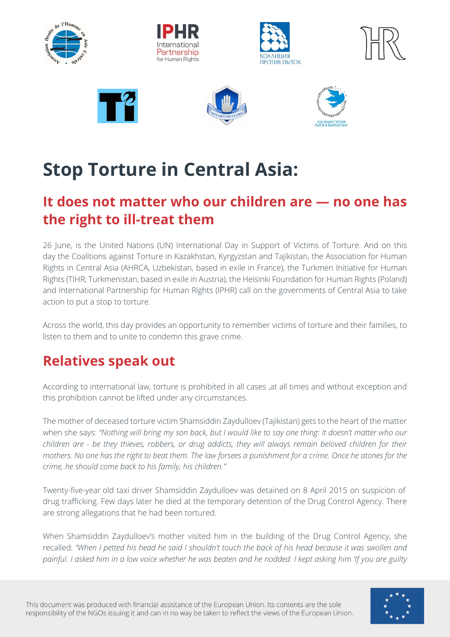

# **Stop Torture in Central Asia:**

# **It does not matter who our children are — no one has the right to ill-treat them**

26 June, is the United Nations (UN) International Day in Support of Victims of Torture. And on this day the Coalitions against Torture in Kazakhstan, Kyrgyzstan and Tajikistan, the Association for Human Rights in Central Asia (AHRCA, Uzbekistan, based in exile in France), the Turkmen Initiative for Human Rights (TIHR, Turkmenistan, based in exile in Austria), the Helsinki Foundation for Human Rights (Poland) and International Partnership for Human Rights (IPHR) call on the governments of Central Asia to take action to put a stop to torture.

Across the world, this day provides an opportunity to remember victims of torture and their families, to listen to them and to unite to condemn this grave crime.

# **Relatives speak out**

According to international law, torture is prohibited in all cases ,at all times and without exception and this prohibition cannot be lifted under any circumstances.

The mother of deceased torture victim Shamsiddin Zaydulloev (Tajikistan) gets to the heart of the matter when she says: *"Nothing will bring my son back, but I would like to say one thing: It doesn't matter who our children are - be they thieves, robbers, or drug addicts, they will always remain beloved children for their mothers. No one has the right to beat them. The law forsees a punishment for a crime. Once he atones for the crime, he should come back to his family, his children."* 

Twenty-five-year old taxi driver Shamsiddin Zaydulloev was detained on 8 April 2015 on suspicion of drug trafficking. Few days later he died at the temporary detention of the Drug Control Agency. There are strong allegations that he had been tortured.

When Shamsiddin Zaydulloev's mother visited him in the building of the Drug Control Agency, she recalled: *"When I petted his head he said I shouldn't touch the back of his head because it was swollen and painful. I asked him in a low voice whether he was beaten and he nodded. I kept asking him 'If you are guilty* 

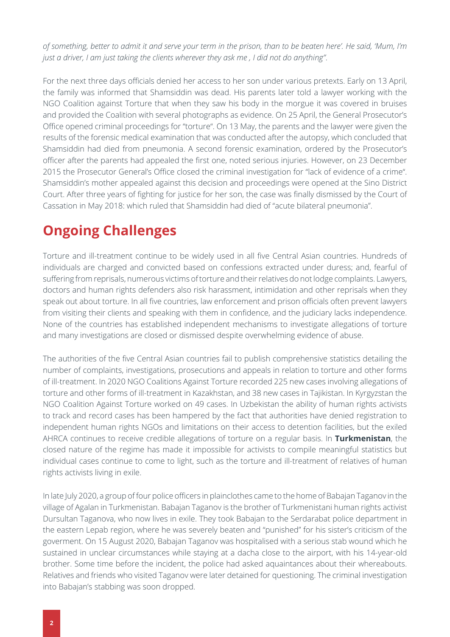*of something, better to admit it and serve your term in the prison, than to be beaten here'. He said, 'Mum, I'm just a driver, I am just taking the clients wherever they ask me , I did not do anything"*.

For the next three days officials denied her access to her son under various pretexts. Early on 13 April, the family was informed that Shamsiddin was dead. His parents later told a lawyer working with the NGO Coalition against Torture that when they saw his body in the morgue it was covered in bruises and provided the Coalition with several photographs as evidence. On 25 April, the General Prosecutor's Office opened criminal proceedings for "torture". On 13 May, the parents and the lawyer were given the results of the forensic medical examination that was conducted after the autopsy, which concluded that Shamsiddin had died from pneumonia. A second forensic examination, ordered by the Prosecutor's officer after the parents had appealed the first one, noted serious injuries. However, on 23 December 2015 the Prosecutor General's Office closed the criminal investigation for "lack of evidence of a crime". Shamsiddin's mother appealed against this decision and proceedings were opened at the Sino District Court. After three years of fighting for justice for her son, the case was finally dismissed by the Court of Cassation in May 2018: which ruled that Shamsiddin had died of "acute bilateral pneumonia".

# **Ongoing Challenges**

Torture and ill-treatment continue to be widely used in all five Central Asian countries. Hundreds of individuals are charged and convicted based on confessions extracted under duress; and, fearful of suffering from reprisals, numerous victims of torture and their relatives do not lodge complaints. Lawyers, doctors and human rights defenders also risk harassment, intimidation and other reprisals when they speak out about torture. In all five countries, law enforcement and prison officials often prevent lawyers from visiting their clients and speaking with them in confidence, and the judiciary lacks independence. None of the countries has established independent mechanisms to investigate allegations of torture and many investigations are closed or dismissed despite overwhelming evidence of abuse.

The authorities of the five Central Asian countries fail to publish comprehensive statistics detailing the number of complaints, investigations, prosecutions and appeals in relation to torture and other forms of ill-treatment. In 2020 NGO Coalitions Against Torture recorded 225 new cases involving allegations of torture and other forms of ill-treatment in Kazakhstan, and 38 new cases in Tajikistan. In Kyrgyzstan the NGO Coalition Against Torture worked on 49 cases. In Uzbekistan the ability of human rights activists to track and record cases has been hampered by the fact that authorities have denied registration to independent human rights NGOs and limitations on their access to detention facilities, but the exiled AHRCA continues to receive credible allegations of torture on a regular basis. In **Turkmenistan**, the closed nature of the regime has made it impossible for activists to compile meaningful statistics but individual cases continue to come to light, such as the torture and ill-treatment of relatives of human rights activists living in exile.

In late July 2020, a group of four police officers in plainclothes came to the home of Babajan Taganov in the village of Agalan in Turkmenistan. Babajan Taganov is the brother of Turkmenistani human rights activist Dursultan Taganova, who now lives in exile. They took Babajan to the Serdarabat police department in the eastern Lepab region, where he was severely beaten and "punished" for his sister's criticism of the goverment. On 15 August 2020, Babajan Taganov was hospitalised with a serious stab wound which he sustained in unclear circumstances while staying at a dacha close to the airport, with his 14-year-old brother. Some time before the incident, the police had asked aquaintances about their whereabouts. Relatives and friends who visited Taganov were later detained for questioning. The criminal investigation into Babajan's stabbing was soon dropped.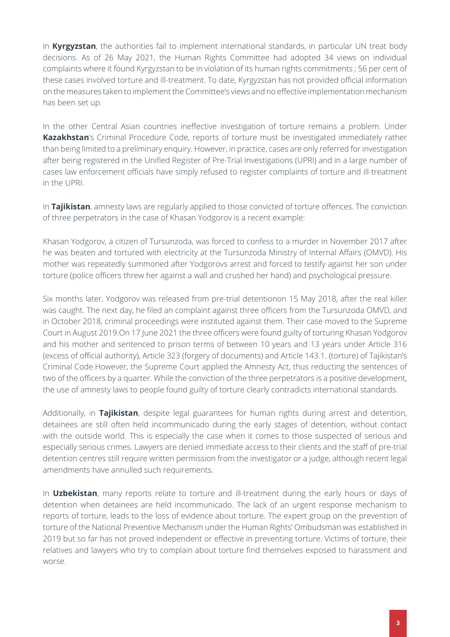In **Kyrgyzstan**, the authorities fail to implement international standards, in particular UN treat body decisions. As of 26 May 2021, the Human Rights Committee had adopted 34 views on individual complaints where it found Kyrgyzstan to be in violation of its human rights commitments ; 56 per cent of these cases involved torture and ill-treatment. To date, Kyrgyzstan has not provided official information on the measures taken to implement the Committee's views and no effective implementation mechanism has been set up.

In the other Central Asian countries ineffective investigation of torture remains a problem. Under **Kazakhstan**'s Criminal Procedure Code, reports of torture must be investigated immediately rather than being limited to a preliminary enquiry. However, in practice, cases are only referred for investigation after being registered in the Unified Register of Pre-Trial Investigations (UPRI) and in a large number of cases law enforcement officials have simply refused to register complaints of torture and ill-treatment in the UPRI.

In **Tajikistan**, amnesty laws are regularly applied to those convicted of torture offences. The conviction of three perpetrators in the case of Khasan Yodgorov is a recent example:

Khasan Yodgorov, a citizen of Tursunzoda, was forced to confess to a murder in November 2017 after he was beaten and tortured with electricity at the Tursunzoda Ministry of Internal Affairs (OMVD). His mother was repeatedly summoned after Yodgorovs arrest and forced to testify against her son under torture (police officers threw her against a wall and crushed her hand) and psychological pressure.

Six months later, Yodgorov was released from pre-trial detentionon 15 May 2018, after the real killer was caught. The next day, he filed an complaint against three officers from the Tursunzoda OMVD, and in October 2018, criminal proceedings were instituted against them. Their case moved to the Supreme Court in August 2019.On 17 June 2021 the three officers were found guilty of torturing Khasan Yodgorov and his mother and sentenced to prison terms of between 10 years and 13 years under Article 316 (excess of official authority), Article 323 (forgery of documents) and Article 143.1. (torture) of Tajikistan's Criminal Code.However, the Supreme Court applied the Amnesty Act, thus reducting the sentences of two of the officers by a quarter. While the conviction of the three perpetrators is a positive development, the use of amnesty laws to people found guilty of torture clearly contradicts international standards.

Additionally, in **Tajikistan**, despite legal guarantees for human rights during arrest and detention, detainees are still often held incommunicado during the early stages of detention, without contact with the outside world. This is especially the case when it comes to those suspected of serious and especially serious crimes. Lawyers are denied immediate access to their clients and the staff of pre-trial detention centres still require written permission from the investigator or a judge, although recent legal amendments have annulled such requirements.

In **Uzbekistan**, many reports relate to torture and ill-treatment during the early hours or days of detention when detainees are held incommunicado. The lack of an urgent response mechanism to reports of torture, leads to the loss of evidence about torture. The expert group on the prevention of torture of the National Preventive Mechanism under the Human Rights' Ombudsman was established in 2019 but so far has not proved independent or effective in preventing torture. Victims of torture, their relatives and lawyers who try to complain about torture find themselves exposed to harassment and worse.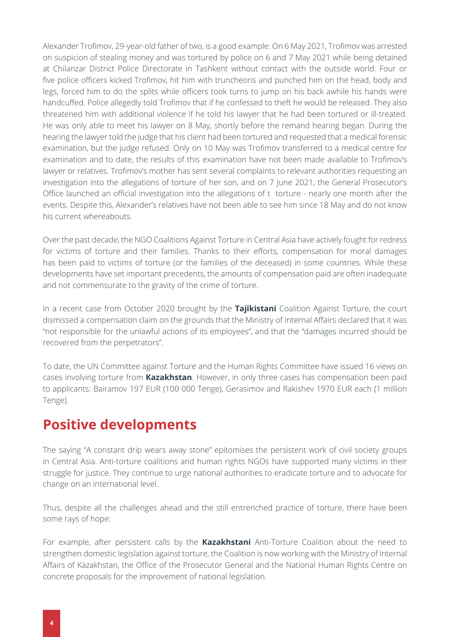Alexander Trofimov, 29-year-old father of two, is a good example: On 6 May 2021, Trofimov was arrested on suspicion of stealing money and was tortured by police on 6 and 7 May 2021 while being detained at Chilanzar District Police Directorate in Tashkent without contact with the outside world. Four or five police officers kicked Trofimov, hit him with truncheons and punched him on the head, body and legs, forced him to do the splits while officers took turns to jump on his back awhile his hands were handcuffed. Police allegedly told Trofimov that if he confessed to theft he would be released. They also threatened him with additional violence if he told his lawyer that he had been tortured or ill-treated. He was only able to meet his lawyer on 8 May, shortly before the remand hearing began. During the hearing the lawyer told the judge that his client had been tortured and requested that a medical forensic examination, but the judge refused. Only on 10 May was Trofimov transferred to a medical centre for examination and to date, the results of this examination have not been made available to Trofimov's lawyer or relatives. Trofimov's mother has sent several complaints to relevant authorities requesting an investigation into the allegations of torture of her son, and on 7 June 2021, the General Prosecutor's Office launched an official investigation into the allegations of t torture - nearly one month after the events. Despite this, Alexander's relatives have not been able to see him since 18 May and do not know his current whereabouts.

Over the past decade, the NGO Coalitions Against Torture in Central Asia have actively fought for redress for victims of torture and their families. Thanks to their efforts, compensation for moral damages has been paid to victims of torture (or the families of the deceased) in some countries. While these developments have set important precedents, the amounts of compensation paid are often inadequate and not commensurate to the gravity of the crime of torture.

In a recent case from October 2020 brought by the **Tajikistani** Coalition Against Torture, the court dismissed a compensation claim on the grounds that the Ministry of Internal Affairs declared that it was "not responsible for the unlawful actions of its employees", and that the "damages incurred should be recovered from the perpetrators".

To date, the UN Committee against Torture and the Human Rights Committee have issued 16 views on cases involving torture from **Kazakhstan**. However, in only three cases has compensation been paid to applicants: Bairamov 197 EUR (100 000 Tenge), Gerasimov and Rakishev 1970 EUR each (1 million Tenge).

### **Positive developments**

The saying "A constant drip wears away stone" epitomises the persistent work of civil society groups in Central Asia. Anti-torture coalitions and human rights NGOs have supported many victims in their struggle for justice. They continue to urge national authorities to eradicate torture and to advocate for change on an international level.

Thus, despite all the challenges ahead and the still entrenched practice of torture, there have been some rays of hope:

For example, after persistent calls by the **Kazakhstani** Anti-Torture Coalition about the need to strengthen domestic legislation against torture, the Coalition is now working with the Ministry of Internal Affairs of Kazakhstan, the Office of the Prosecutor General and the National Human Rights Centre on concrete proposals for the improvement of national legislation.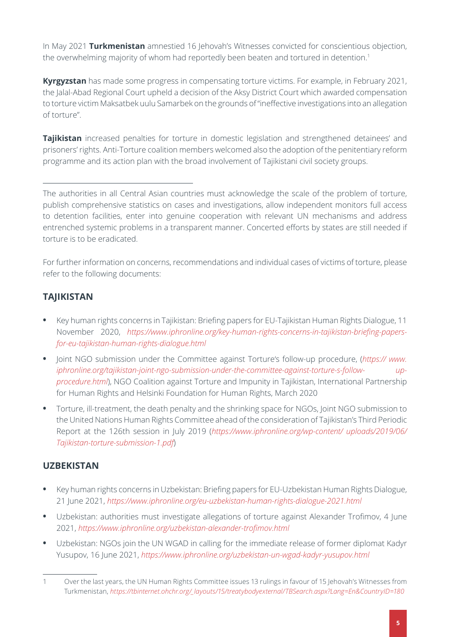In May 2021 **Turkmenistan** amnestied 16 Jehovah's Witnesses convicted for conscientious objection, the overwhelming majority of whom had reportedly been beaten and tortured in detention.<sup>1</sup>

**Kyrgyzstan** has made some progress in compensating torture victims. For example, in February 2021, the Jalal-Abad Regional Court upheld a decision of the Aksy District Court which awarded compensation to torture victim Maksatbek uulu Samarbek on the grounds of "ineffective investigations into an allegation of torture".

**Tajikistan** increased penalties for torture in domestic legislation and strengthened detainees' and prisoners' rights. Anti-Torture coalition members welcomed also the adoption of the penitentiary reform programme and its action plan with the broad involvement of Tajikistani civil society groups.

The authorities in all Central Asian countries must acknowledge the scale of the problem of torture, publish comprehensive statistics on cases and investigations, allow independent monitors full access to detention facilities, enter into genuine cooperation with relevant UN mechanisms and address entrenched systemic problems in a transparent manner. Concerted efforts by states are still needed if torture is to be eradicated.

For further information on concerns, recommendations and individual cases of victims of torture, please refer to the following documents:

### **TAJIKISTAN**

- **•** Key human rights concerns in Tajikistan: Briefing papers for EU-Tajikistan Human Rights Dialogue, 11 November 2020, *[https://www.iphronline.org/key-human-rights-concerns-in-tajikistan-briefing-papers](https://www.iphronline.org/key-human-rights-concerns-in-tajikistan-briefing-papers-for-eu-tajikistan-human-rights-dialogue.html)[for-eu-tajikistan-human-rights-dialogue.html](https://www.iphronline.org/key-human-rights-concerns-in-tajikistan-briefing-papers-for-eu-tajikistan-human-rights-dialogue.html)*
- **•** Joint NGO submission under the Committee against Torture's follow-up procedure, (*[https:// www.](https://www.iphronline.org/tajikistan-joint-ngo-submission-under-the-committee-against-torture-s-follow-up-procedure.html) [iphronline.org/tajikistan-joint-ngo-submission-under-the-committee-against-torture-s-follow- up](https://www.iphronline.org/tajikistan-joint-ngo-submission-under-the-committee-against-torture-s-follow-up-procedure.html)[procedure.html](https://www.iphronline.org/tajikistan-joint-ngo-submission-under-the-committee-against-torture-s-follow-up-procedure.html)*), NGO Coalition against Torture and Impunity in Tajikistan, International Partnership for Human Rights and Helsinki Foundation for Human Rights, March 2020
- **•** Torture, ill-treatment, the death penalty and the shrinking space for NGOs, Joint NGO submission to the United Nations Human Rights Committee ahead of the consideration of Tajikistan's Third Periodic Report at the 126th session in July 2019 (*[https://www.iphronline.org/wp-content/ uploads/2019/06/](https://www.iphronline.org/wp-content/uploads/2019/06/Tajikistan-torture-submission-1.pdf) [Tajikistan-torture-submission-1.pdf](https://www.iphronline.org/wp-content/uploads/2019/06/Tajikistan-torture-submission-1.pdf)*)

### **UZBEKISTAN**

- **•** Key human rights concerns in Uzbekistan: Briefing papers for EU-Uzbekistan Human Rights Dialogue, 21 June 2021, *<https://www.iphronline.org/eu-uzbekistan-human-rights-dialogue-2021.html>*
- **•** Uzbekistan: authorities must investigate allegations of torture against Alexander Trofimov, 4 June 2021, *<https://www.iphronline.org/uzbekistan-alexander-trofimov.html>*
- **•** Uzbekistan: NGOs join the UN WGAD in calling for the immediate release of former diplomat Kadyr Yusupov, 16 June 2021, *<https://www.iphronline.org/uzbekistan-un-wgad-kadyr-yusupov.html>*

<sup>1</sup> Over the last years, the UN Human Rights Committee issues 13 rulings in favour of 15 Jehovah's Witnesses from Turkmenistan, *[https://tbinternet.ohchr.org/\\_layouts/15/treatybodyexternal/TBSearch.aspx?Lang=En&CountryID=180](https://tbinternet.ohchr.org/_layouts/15/treatybodyexternal/TBSearch.aspx?Lang=En&CountryID=180)*